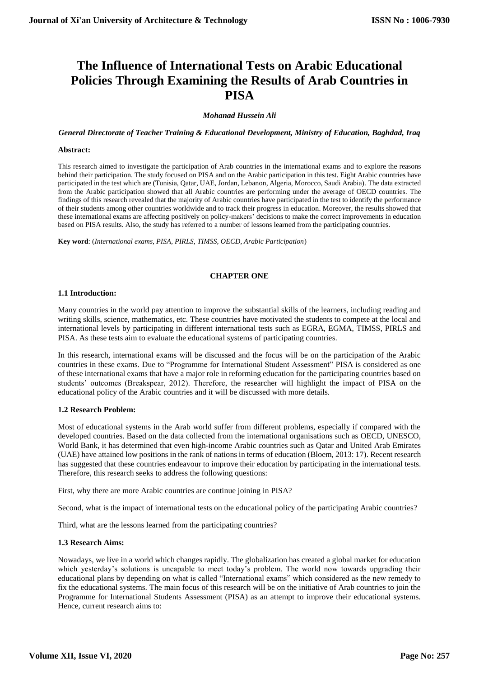# **The Influence of International Tests on Arabic Educational Policies Through Examining the Results of Arab Countries in PISA**

# *Mohanad Hussein Ali*

*General Directorate of Teacher Training & Educational Development, Ministry of Education, Baghdad, Iraq*

#### **Abstract:**

This research aimed to investigate the participation of Arab countries in the international exams and to explore the reasons behind their participation. The study focused on PISA and on the Arabic participation in this test. Eight Arabic countries have participated in the test which are (Tunisia, Qatar, UAE, Jordan, Lebanon, Algeria, Morocco, Saudi Arabia). The data extracted from the Arabic participation showed that all Arabic countries are performing under the average of OECD countries. The findings of this research revealed that the majority of Arabic countries have participated in the test to identify the performance of their students among other countries worldwide and to track their progress in education. Moreover, the results showed that these international exams are affecting positively on policy-makers' decisions to make the correct improvements in education based on PISA results. Also, the study has referred to a number of lessons learned from the participating countries.

**Key word**: (*International exams, PISA, PIRLS, TIMSS, OECD, Arabic Participation*)

## **CHAPTER ONE**

## **1.1 Introduction:**

Many countries in the world pay attention to improve the substantial skills of the learners, including reading and writing skills, science, mathematics, etc. These countries have motivated the students to compete at the local and international levels by participating in different international tests such as EGRA, EGMA, TIMSS, PIRLS and PISA. As these tests aim to evaluate the educational systems of participating countries.

In this research, international exams will be discussed and the focus will be on the participation of the Arabic countries in these exams. Due to "Programme for International Student Assessment" PISA is considered as one of these international exams that have a major role in reforming education for the participating countries based on students' outcomes (Breakspear, 2012). Therefore, the researcher will highlight the impact of PISA on the educational policy of the Arabic countries and it will be discussed with more details.

# **1.2 Research Problem:**

Most of educational systems in the Arab world suffer from different problems, especially if compared with the developed countries. Based on the data collected from the international organisations such as OECD, UNESCO, World Bank, it has determined that even high-income Arabic countries such as Qatar and United Arab Emirates (UAE) have attained low positions in the rank of nations in terms of education (Bloem, 2013: 17). Recent research has suggested that these countries endeavour to improve their education by participating in the international tests. Therefore, this research seeks to address the following questions:

First, why there are more Arabic countries are continue joining in PISA?

Second, what is the impact of international tests on the educational policy of the participating Arabic countries?

Third, what are the lessons learned from the participating countries?

# **1.3 Research Aims:**

Nowadays, we live in a world which changes rapidly. The globalization has created a global market for education which yesterday's solutions is uncapable to meet today's problem. The world now towards upgrading their educational plans by depending on what is called "International exams" which considered as the new remedy to fix the educational systems. The main focus of this research will be on the initiative of Arab countries to join the Programme for International Students Assessment (PISA) as an attempt to improve their educational systems. Hence, current research aims to: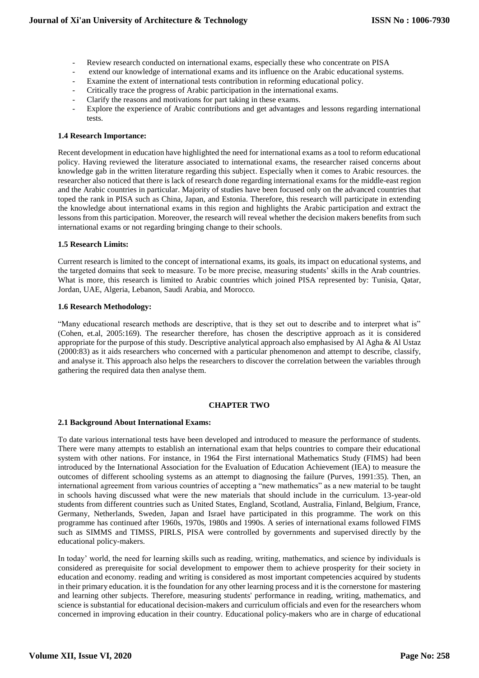- Review research conducted on international exams, especially these who concentrate on PISA
- extend our knowledge of international exams and its influence on the Arabic educational systems.
- Examine the extent of international tests contribution in reforming educational policy.
- Critically trace the progress of Arabic participation in the international exams.
- Clarify the reasons and motivations for part taking in these exams.
- Explore the experience of Arabic contributions and get advantages and lessons regarding international tests.

# **1.4 Research Importance:**

Recent development in education have highlighted the need for international exams as a tool to reform educational policy. Having reviewed the literature associated to international exams, the researcher raised concerns about knowledge gab in the written literature regarding this subject. Especially when it comes to Arabic resources. the researcher also noticed that there is lack of research done regarding international exams for the middle-east region and the Arabic countries in particular. Majority of studies have been focused only on the advanced countries that toped the rank in PISA such as China, Japan, and Estonia. Therefore, this research will participate in extending the knowledge about international exams in this region and highlights the Arabic participation and extract the lessons from this participation. Moreover, the research will reveal whether the decision makers benefits from such international exams or not regarding bringing change to their schools.

## **1.5 Research Limits:**

Current research is limited to the concept of international exams, its goals, its impact on educational systems, and the targeted domains that seek to measure. To be more precise, measuring students' skills in the Arab countries. What is more, this research is limited to Arabic countries which joined PISA represented by: Tunisia, Qatar, Jordan, UAE, Algeria, Lebanon, Saudi Arabia, and Morocco.

#### **1.6 Research Methodology:**

"Many educational research methods are descriptive, that is they set out to describe and to interpret what is" (Cohen, et.al, 2005:169). The researcher therefore, has chosen the descriptive approach as it is considered appropriate for the purpose of this study. Descriptive analytical approach also emphasised by Al Agha & Al Ustaz (2000:83) as it aids researchers who concerned with a particular phenomenon and attempt to describe, classify, and analyse it. This approach also helps the researchers to discover the correlation between the variables through gathering the required data then analyse them.

#### **CHAPTER TWO**

#### **2.1 Background About International Exams:**

To date various international tests have been developed and introduced to measure the performance of students. There were many attempts to establish an international exam that helps countries to compare their educational system with other nations. For instance, in 1964 the First international Mathematics Study (FIMS) had been introduced by the International Association for the Evaluation of Education Achievement (IEA) to measure the outcomes of different schooling systems as an attempt to diagnosing the failure (Purves, 1991:35). Then, an international agreement from various countries of accepting a "new mathematics" as a new material to be taught in schools having discussed what were the new materials that should include in the curriculum. 13-year-old students from different countries such as United States, England, Scotland, Australia, Finland, Belgium, France, Germany, Netherlands, Sweden, Japan and Israel have participated in this programme. The work on this programme has continued after 1960s, 1970s, 1980s and 1990s. A series of international exams followed FIMS such as SIMMS and TIMSS, PIRLS, PISA were controlled by governments and supervised directly by the educational policy-makers.

In today' world, the need for learning skills such as reading, writing, mathematics, and science by individuals is considered as prerequisite for social development to empower them to achieve prosperity for their society in education and economy. reading and writing is considered as most important competencies acquired by students in their primary education. it is the foundation for any other learning process and it is the cornerstone for mastering and learning other subjects. Therefore, measuring students' performance in reading, writing, mathematics, and science is substantial for educational decision-makers and curriculum officials and even for the researchers whom concerned in improving education in their country. Educational policy-makers who are in charge of educational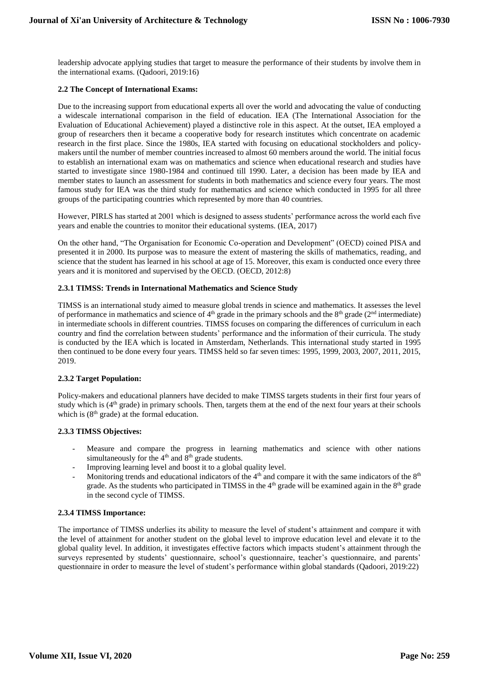leadership advocate applying studies that target to measure the performance of their students by involve them in the international exams. (Qadoori, 2019:16)

# **2.2 The Concept of International Exams:**

Due to the increasing support from educational experts all over the world and advocating the value of conducting a widescale international comparison in the field of education. IEA (The International Association for the Evaluation of Educational Achievement) played a distinctive role in this aspect. At the outset, IEA employed a group of researchers then it became a cooperative body for research institutes which concentrate on academic research in the first place. Since the 1980s, IEA started with focusing on educational stockholders and policymakers until the number of member countries increased to almost 60 members around the world. The initial focus to establish an international exam was on mathematics and science when educational research and studies have started to investigate since 1980-1984 and continued till 1990. Later, a decision has been made by IEA and member states to launch an assessment for students in both mathematics and science every four years. The most famous study for IEA was the third study for mathematics and science which conducted in 1995 for all three groups of the participating countries which represented by more than 40 countries.

However, PIRLS has started at 2001 which is designed to assess students' performance across the world each five years and enable the countries to monitor their educational systems. (IEA, 2017)

On the other hand, "The Organisation for Economic Co-operation and Development" (OECD) coined PISA and presented it in 2000. Its purpose was to measure the extent of mastering the skills of mathematics, reading, and science that the student has learned in his school at age of 15. Moreover, this exam is conducted once every three years and it is monitored and supervised by the OECD. (OECD, 2012:8)

# **2.3.1 TIMSS: Trends in International Mathematics and Science Study**

TIMSS is an international study aimed to measure global trends in science and mathematics. It assesses the level of performance in mathematics and science of  $4<sup>th</sup>$  grade in the primary schools and the  $8<sup>th</sup>$  grade ( $2<sup>nd</sup>$  intermediate) in intermediate schools in different countries. TIMSS focuses on comparing the differences of curriculum in each country and find the correlation between students' performance and the information of their curricula. The study is conducted by the IEA which is located in Amsterdam, Netherlands. This international study started in 1995 then continued to be done every four years. TIMSS held so far seven times: 1995, 1999, 2003, 2007, 2011, 2015, 2019.

# **2.3.2 Target Population:**

Policy-makers and educational planners have decided to make TIMSS targets students in their first four years of study which is (4<sup>th</sup> grade) in primary schools. Then, targets them at the end of the next four years at their schools which is  $(8<sup>th</sup> grade)$  at the formal education.

# **2.3.3 TIMSS Objectives:**

- Measure and compare the progress in learning mathematics and science with other nations simultaneously for the  $4<sup>th</sup>$  and  $8<sup>th</sup>$  grade students.
- Improving learning level and boost it to a global quality level.
- Monitoring trends and educational indicators of the  $4<sup>th</sup>$  and compare it with the same indicators of the  $8<sup>th</sup>$ grade. As the students who participated in TIMSS in the  $4<sup>th</sup>$  grade will be examined again in the  $8<sup>th</sup>$  grade in the second cycle of TIMSS.

# **2.3.4 TIMSS Importance:**

The importance of TIMSS underlies its ability to measure the level of student's attainment and compare it with the level of attainment for another student on the global level to improve education level and elevate it to the global quality level. In addition, it investigates effective factors which impacts student's attainment through the surveys represented by students' questionnaire, school's questionnaire, teacher's questionnaire, and parents' questionnaire in order to measure the level of student's performance within global standards (Qadoori, 2019:22)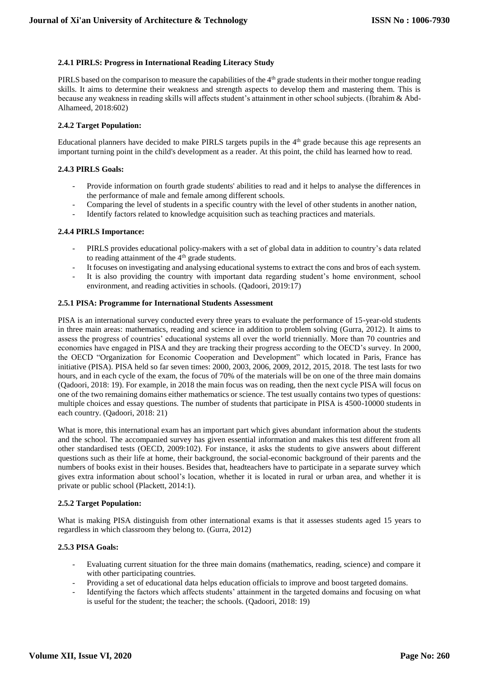# **2.4.1 PIRLS: Progress in International Reading Literacy Study**

PIRLS based on the comparison to measure the capabilities of the 4<sup>th</sup> grade students in their mother tongue reading skills. It aims to determine their weakness and strength aspects to develop them and mastering them. This is because any weakness in reading skills will affects student's attainment in other school subjects. (Ibrahim & Abd-Alhameed, 2018:602)

#### **2.4.2 Target Population:**

Educational planners have decided to make PIRLS targets pupils in the 4th grade because this age represents an important turning point in the child's development as a reader. At this point, the child has learned how to read.

## **2.4.3 PIRLS Goals:**

- Provide information on fourth grade students' abilities to read and it helps to analyse the differences in the performance of male and female among different schools.
- Comparing the level of students in a specific country with the level of other students in another nation,
- Identify factors related to knowledge acquisition such as teaching practices and materials.

## **2.4.4 PIRLS Importance:**

- PIRLS provides educational policy-makers with a set of global data in addition to country's data related to reading attainment of the 4<sup>th</sup> grade students.
- It focuses on investigating and analysing educational systems to extract the cons and bros of each system.
- It is also providing the country with important data regarding student's home environment, school environment, and reading activities in schools. (Qadoori, 2019:17)

## **2.5.1 PISA: Programme for International Students Assessment**

PISA is an international survey conducted every three years to evaluate the performance of 15-year-old students in three main areas: mathematics, reading and science in addition to problem solving (Gurra, 2012). It aims to assess the progress of countries' educational systems all over the world triennially. More than 70 countries and economies have engaged in PISA and they are tracking their progress according to the OECD's survey. In 2000, the OECD "Organization for Economic Cooperation and Development" which located in Paris, France has initiative (PISA). PISA held so far seven times: 2000, 2003, 2006, 2009, 2012, 2015, 2018. The test lasts for two hours, and in each cycle of the exam, the focus of 70% of the materials will be on one of the three main domains (Qadoori, 2018: 19). For example, in 2018 the main focus was on reading, then the next cycle PISA will focus on one of the two remaining domains either mathematics or science. The test usually contains two types of questions: multiple choices and essay questions. The number of students that participate in PISA is 4500-10000 students in each country. (Qadoori, 2018: 21)

What is more, this international exam has an important part which gives abundant information about the students and the school. The accompanied survey has given essential information and makes this test different from all other standardised tests (OECD, 2009:102). For instance, it asks the students to give answers about different questions such as their life at home, their background, the social-economic background of their parents and the numbers of books exist in their houses. Besides that, headteachers have to participate in a separate survey which gives extra information about school's location, whether it is located in rural or urban area, and whether it is private or public school (Plackett, 2014:1).

#### **2.5.2 Target Population:**

What is making PISA distinguish from other international exams is that it assesses students aged 15 years to regardless in which classroom they belong to. (Gurra, 2012)

# **2.5.3 PISA Goals:**

- Evaluating current situation for the three main domains (mathematics, reading, science) and compare it with other participating countries.
- Providing a set of educational data helps education officials to improve and boost targeted domains.
- Identifying the factors which affects students' attainment in the targeted domains and focusing on what is useful for the student; the teacher; the schools. (Qadoori, 2018: 19)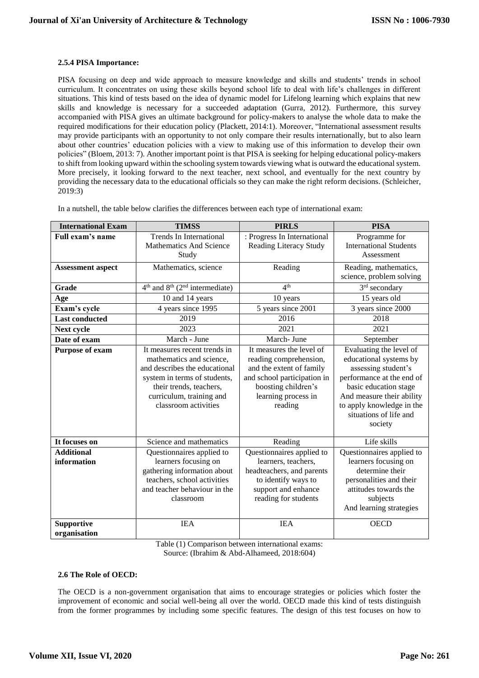# **2.5.4 PISA Importance:**

PISA focusing on deep and wide approach to measure knowledge and skills and students' trends in school curriculum. It concentrates on using these skills beyond school life to deal with life's challenges in different situations. This kind of tests based on the idea of dynamic model for Lifelong learning which explains that new skills and knowledge is necessary for a succeeded adaptation (Gurra, 2012). Furthermore, this survey accompanied with PISA gives an ultimate background for policy-makers to analyse the whole data to make the required modifications for their education policy (Plackett, 2014:1). Moreover, "International assessment results may provide participants with an opportunity to not only compare their results internationally, but to also learn about other countries' education policies with a view to making use of this information to develop their own policies" (Bloem, 2013: 7). Another important point is that PISA is seeking for helping educational policy-makers to shift from looking upward within the schooling system towards viewing what is outward the educational system. More precisely, it looking forward to the next teacher, next school, and eventually for the next country by providing the necessary data to the educational officials so they can make the right reform decisions. (Schleicher, 2019:3)

| <b>International Exam</b> | <b>TIMSS</b>                                     | <b>PIRLS</b>                  | <b>PISA</b>                                         |  |
|---------------------------|--------------------------------------------------|-------------------------------|-----------------------------------------------------|--|
| Full exam's name          | <b>Trends In International</b>                   | : Progress In International   | Programme for                                       |  |
|                           | <b>Mathematics And Science</b>                   | <b>Reading Literacy Study</b> | <b>International Students</b>                       |  |
|                           | Study                                            |                               | Assessment                                          |  |
| <b>Assessment aspect</b>  | Mathematics, science                             | Reading                       | Reading, mathematics,                               |  |
|                           |                                                  |                               | science, problem solving                            |  |
| Grade                     | $4th$ and $8th$ (2 <sup>nd</sup> intermediate)   | 4 <sup>th</sup>               | 3 <sup>rd</sup> secondary                           |  |
| Age                       | 10 and 14 years                                  | 10 years                      | 15 years old                                        |  |
| Exam's cycle              | 4 years since 1995                               | 5 years since 2001            | 3 years since 2000                                  |  |
| <b>Last conducted</b>     | 2019                                             | 2016                          | 2018                                                |  |
| Next cycle                | 2023                                             | 2021                          | 2021                                                |  |
| Date of exam              | March - June                                     | March- June                   | September                                           |  |
| Purpose of exam           | It measures recent trends in                     | It measures the level of      | Evaluating the level of                             |  |
|                           | mathematics and science,                         | reading comprehension,        | educational systems by                              |  |
|                           | and describes the educational                    | and the extent of family      | assessing student's                                 |  |
|                           | system in terms of students,                     | and school participation in   | performance at the end of                           |  |
|                           | their trends, teachers,                          | boosting children's           | basic education stage                               |  |
|                           | curriculum, training and<br>classroom activities | learning process in           | And measure their ability                           |  |
|                           |                                                  | reading                       | to apply knowledge in the<br>situations of life and |  |
|                           |                                                  |                               | society                                             |  |
|                           |                                                  |                               |                                                     |  |
| It focuses on             | Science and mathematics                          | Reading                       | Life skills                                         |  |
| <b>Additional</b>         | Questionnaires applied to                        | Questionnaires applied to     | Questionnaires applied to                           |  |
| information               | learners focusing on                             | learners, teachers,           | learners focusing on                                |  |
|                           | gathering information about                      | headteachers, and parents     | determine their                                     |  |
|                           | teachers, school activities                      | to identify ways to           | personalities and their                             |  |
|                           | and teacher behaviour in the                     | support and enhance           | attitudes towards the                               |  |
|                           | classroom                                        | reading for students          | subjects                                            |  |
|                           |                                                  |                               | And learning strategies                             |  |
| <b>Supportive</b>         | <b>IEA</b>                                       | <b>IEA</b>                    | <b>OECD</b>                                         |  |
| organisation              |                                                  |                               |                                                     |  |

In a nutshell, the table below clarifies the differences between each type of international exam:

Table (1) Comparison between international exams: Source: (Ibrahim & Abd-Alhameed, 2018:604)

# **2.6 The Role of OECD:**

The OECD is a non-government organisation that aims to encourage strategies or policies which foster the improvement of economic and social well-being all over the world. OECD made this kind of tests distinguish from the former programmes by including some specific features. The design of this test focuses on how to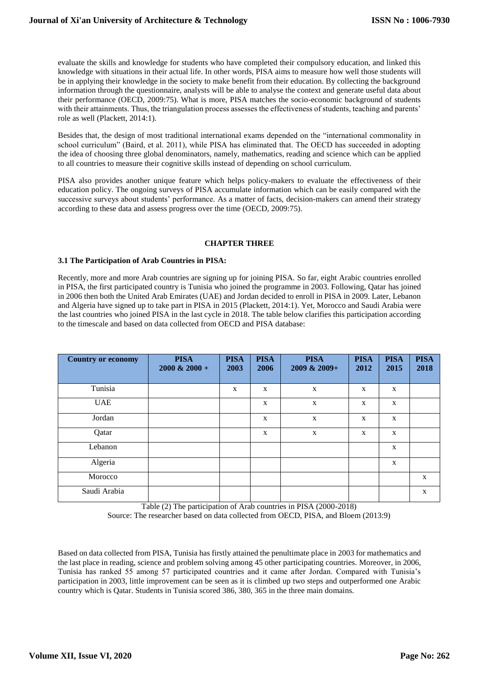evaluate the skills and knowledge for students who have completed their compulsory education, and linked this knowledge with situations in their actual life. In other words, PISA aims to measure how well those students will be in applying their knowledge in the society to make benefit from their education. By collecting the background information through the questionnaire, analysts will be able to analyse the context and generate useful data about their performance (OECD, 2009:75). What is more, PISA matches the socio-economic background of students with their attainments. Thus, the triangulation process assesses the effectiveness of students, teaching and parents' role as well (Plackett, 2014:1).

Besides that, the design of most traditional international exams depended on the "international commonality in school curriculum" (Baird, et al. 2011), while PISA has eliminated that. The OECD has succeeded in adopting the idea of choosing three global denominators, namely, mathematics, reading and science which can be applied to all countries to measure their cognitive skills instead of depending on school curriculum.

PISA also provides another unique feature which helps policy-makers to evaluate the effectiveness of their education policy. The ongoing surveys of PISA accumulate information which can be easily compared with the successive surveys about students' performance. As a matter of facts, decision-makers can amend their strategy according to these data and assess progress over the time (OECD, 2009:75).

## **CHAPTER THREE**

## **3.1 The Participation of Arab Countries in PISA:**

Recently, more and more Arab countries are signing up for joining PISA. So far, eight Arabic countries enrolled in PISA, the first participated country is Tunisia who joined the programme in 2003. Following, Qatar has joined in 2006 then both the United Arab Emirates (UAE) and Jordan decided to enroll in PISA in 2009. Later, Lebanon and Algeria have signed up to take part in PISA in 2015 (Plackett, 2014:1). Yet, Morocco and Saudi Arabia were the last countries who joined PISA in the last cycle in 2018. The table below clarifies this participation according to the timescale and based on data collected from OECD and PISA database:

| <b>Country or economy</b> | <b>PISA</b><br>$2000 \& 2000 +$ | <b>PISA</b><br>2003 | <b>PISA</b><br>2006 | <b>PISA</b><br>$2009 \& 2009 +$ | <b>PISA</b><br>2012 | <b>PISA</b><br>2015 | <b>PISA</b><br>2018 |
|---------------------------|---------------------------------|---------------------|---------------------|---------------------------------|---------------------|---------------------|---------------------|
| Tunisia                   |                                 | X                   | X                   | X                               | X                   | X                   |                     |
| <b>UAE</b>                |                                 |                     | X                   | $\mathbf X$                     | $\mathbf X$         | $\mathbf X$         |                     |
| Jordan                    |                                 |                     | X                   | X                               | X                   | $\mathbf X$         |                     |
| Qatar                     |                                 |                     | X                   | $\mathbf X$                     | $\mathbf X$         | $\mathbf X$         |                     |
| Lebanon                   |                                 |                     |                     |                                 |                     | $\mathbf X$         |                     |
| Algeria                   |                                 |                     |                     |                                 |                     | $\mathbf X$         |                     |
| Morocco                   |                                 |                     |                     |                                 |                     |                     | $\mathbf{X}$        |
| Saudi Arabia              |                                 |                     |                     |                                 |                     |                     | X                   |

Table (2) The participation of Arab countries in PISA (2000-2018)

Source: The researcher based on data collected from OECD, PISA, and Bloem (2013:9)

Based on data collected from PISA, Tunisia has firstly attained the penultimate place in 2003 for mathematics and the last place in reading, science and problem solving among 45 other participating countries. Moreover, in 2006, Tunisia has ranked 55 among 57 participated countries and it came after Jordan. Compared with Tunisia's participation in 2003, little improvement can be seen as it is climbed up two steps and outperformed one Arabic country which is Qatar. Students in Tunisia scored 386, 380, 365 in the three main domains.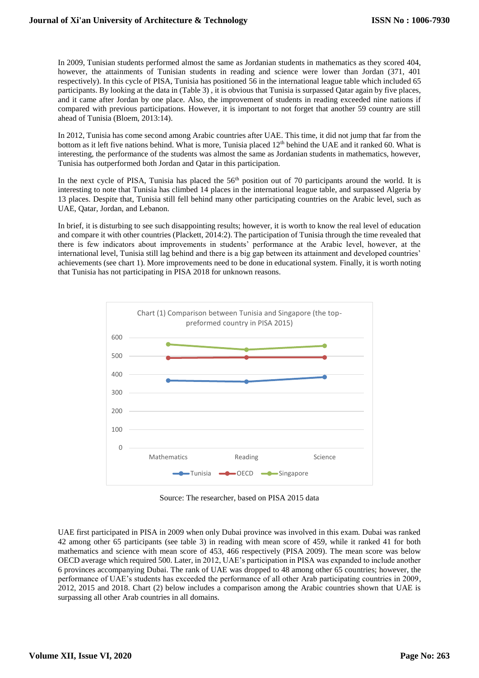In 2009, Tunisian students performed almost the same as Jordanian students in mathematics as they scored 404, however, the attainments of Tunisian students in reading and science were lower than Jordan (371, 401) respectively). In this cycle of PISA, Tunisia has positioned 56 in the international league table which included 65 participants. By looking at the data in (Table 3) , it is obvious that Tunisia is surpassed Qatar again by five places, and it came after Jordan by one place. Also, the improvement of students in reading exceeded nine nations if compared with previous participations. However, it is important to not forget that another 59 country are still ahead of Tunisia (Bloem, 2013:14).

In 2012, Tunisia has come second among Arabic countries after UAE. This time, it did not jump that far from the bottom as it left five nations behind. What is more, Tunisia placed 12<sup>th</sup> behind the UAE and it ranked 60. What is interesting, the performance of the students was almost the same as Jordanian students in mathematics, however, Tunisia has outperformed both Jordan and Qatar in this participation.

In the next cycle of PISA, Tunisia has placed the 56<sup>th</sup> position out of 70 participants around the world. It is interesting to note that Tunisia has climbed 14 places in the international league table, and surpassed Algeria by 13 places. Despite that, Tunisia still fell behind many other participating countries on the Arabic level, such as UAE, Qatar, Jordan, and Lebanon.

In brief, it is disturbing to see such disappointing results; however, it is worth to know the real level of education and compare it with other countries (Plackett, 2014:2). The participation of Tunisia through the time revealed that there is few indicators about improvements in students' performance at the Arabic level, however, at the international level, Tunisia still lag behind and there is a big gap between its attainment and developed countries' achievements (see chart 1). More improvements need to be done in educational system. Finally, it is worth noting that Tunisia has not participating in PISA 2018 for unknown reasons.



Source: The researcher, based on PISA 2015 data

UAE first participated in PISA in 2009 when only Dubai province was involved in this exam. Dubai was ranked 42 among other 65 participants (see table 3) in reading with mean score of 459, while it ranked 41 for both mathematics and science with mean score of 453, 466 respectively (PISA 2009). The mean score was below OECD average which required 500. Later, in 2012, UAE's participation in PISA was expanded to include another 6 provinces accompanying Dubai. The rank of UAE was dropped to 48 among other 65 countries; however, the performance of UAE's students has exceeded the performance of all other Arab participating countries in 2009, 2012, 2015 and 2018. Chart (2) below includes a comparison among the Arabic countries shown that UAE is surpassing all other Arab countries in all domains.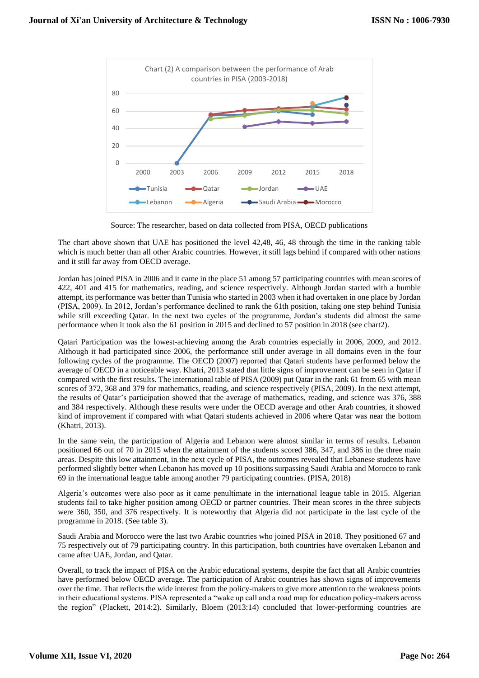

Source: The researcher, based on data collected from PISA, OECD publications

The chart above shown that UAE has positioned the level 42,48, 46, 48 through the time in the ranking table which is much better than all other Arabic countries. However, it still lags behind if compared with other nations and it still far away from OECD average.

Jordan has joined PISA in 2006 and it came in the place 51 among 57 participating countries with mean scores of 422, 401 and 415 for mathematics, reading, and science respectively. Although Jordan started with a humble attempt, its performance was better than Tunisia who started in 2003 when it had overtaken in one place by Jordan (PISA, 2009). In 2012, Jordan's performance declined to rank the 61th position, taking one step behind Tunisia while still exceeding Qatar. In the next two cycles of the programme, Jordan's students did almost the same performance when it took also the 61 position in 2015 and declined to 57 position in 2018 (see chart2).

Qatari Participation was the lowest-achieving among the Arab countries especially in 2006, 2009, and 2012. Although it had participated since 2006, the performance still under average in all domains even in the four following cycles of the programme. The OECD (2007) reported that Qatari students have performed below the average of OECD in a noticeable way. Khatri, 2013 stated that little signs of improvement can be seen in Qatar if compared with the first results. The international table of PISA (2009) put Qatar in the rank 61 from 65 with mean scores of 372, 368 and 379 for mathematics, reading, and science respectively (PISA, 2009). In the next attempt, the results of Qatar's participation showed that the average of mathematics, reading, and science was 376, 388 and 384 respectively. Although these results were under the OECD average and other Arab countries, it showed kind of improvement if compared with what Qatari students achieved in 2006 where Qatar was near the bottom (Khatri, 2013).

In the same vein, the participation of Algeria and Lebanon were almost similar in terms of results. Lebanon positioned 66 out of 70 in 2015 when the attainment of the students scored 386, 347, and 386 in the three main areas. Despite this low attainment, in the next cycle of PISA, the outcomes revealed that Lebanese students have performed slightly better when Lebanon has moved up 10 positions surpassing Saudi Arabia and Morocco to rank 69 in the international league table among another 79 participating countries. (PISA, 2018)

Algeria's outcomes were also poor as it came penultimate in the international league table in 2015. Algerian students fail to take higher position among OECD or partner countries. Their mean scores in the three subjects were 360, 350, and 376 respectively. It is noteworthy that Algeria did not participate in the last cycle of the programme in 2018. (See table 3).

Saudi Arabia and Morocco were the last two Arabic countries who joined PISA in 2018. They positioned 67 and 75 respectively out of 79 participating country. In this participation, both countries have overtaken Lebanon and came after UAE, Jordan, and Qatar.

Overall, to track the impact of PISA on the Arabic educational systems, despite the fact that all Arabic countries have performed below OECD average. The participation of Arabic countries has shown signs of improvements over the time. That reflects the wide interest from the policy-makers to give more attention to the weakness points in their educational systems. PISA represented a "wake up call and a road map for education policy-makers across the region" (Plackett, 2014:2). Similarly, Bloem (2013:14) concluded that lower-performing countries are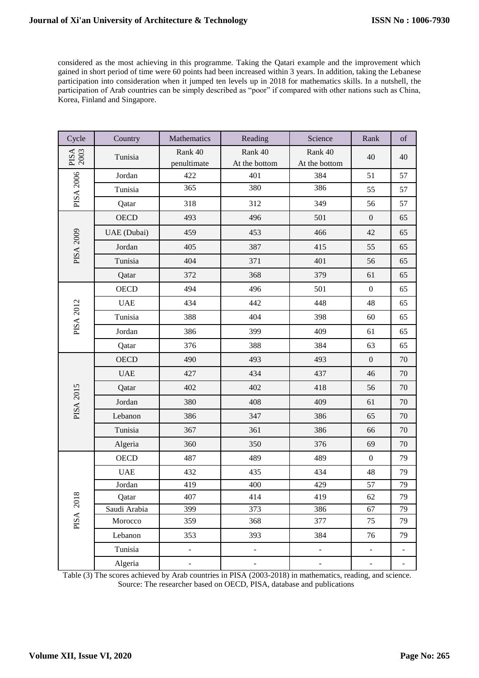considered as the most achieving in this programme. Taking the Qatari example and the improvement which gained in short period of time were 60 points had been increased within 3 years. In addition, taking the Lebanese participation into consideration when it jumped ten levels up in 2018 for mathematics skills. In a nutshell, the participation of Arab countries can be simply described as "poor" if compared with other nations such as China, Korea, Finland and Singapore.

| Cycle            | Country      | Mathematics            | Reading                      | Science                  | Rank                     | $% \left( \left( \mathcal{A},\mathcal{A}\right) \right) =\left( \mathcal{A},\mathcal{A}\right)$ of |
|------------------|--------------|------------------------|------------------------------|--------------------------|--------------------------|----------------------------------------------------------------------------------------------------|
| PISA<br>2003     | Tunisia      | Rank 40<br>penultimate | Rank 40<br>At the bottom     | Rank 40<br>At the bottom | 40                       | 40                                                                                                 |
| PISA 2006        | Jordan       | 422                    | 401                          | 384                      | 51                       | 57                                                                                                 |
|                  | Tunisia      | 365                    | 380                          | 386                      | 55                       | 57                                                                                                 |
|                  | Qatar        | 318                    | 312                          | 349                      | 56                       | 57                                                                                                 |
| <b>PISA 2009</b> | OECD         | 493                    | 496                          | 501                      | $\boldsymbol{0}$         | 65                                                                                                 |
|                  | UAE (Dubai)  | 459                    | 453                          | 466                      | 42                       | 65                                                                                                 |
|                  | Jordan       | 405                    | 387                          | 415                      | 55                       | 65                                                                                                 |
|                  | Tunisia      | 404                    | 371                          | 401                      | 56                       | 65                                                                                                 |
|                  | Qatar        | 372                    | 368                          | 379                      | 61                       | 65                                                                                                 |
| <b>PISA 2012</b> | <b>OECD</b>  | 494                    | 496                          | 501                      | $\boldsymbol{0}$         | 65                                                                                                 |
|                  | <b>UAE</b>   | 434                    | 442                          | 448                      | 48                       | 65                                                                                                 |
|                  | Tunisia      | 388                    | 404                          | 398                      | 60                       | 65                                                                                                 |
|                  | Jordan       | 386                    | 399                          | 409                      | 61                       | 65                                                                                                 |
|                  | Qatar        | 376                    | 388                          | 384                      | 63                       | 65                                                                                                 |
| <b>PISA 2015</b> | <b>OECD</b>  | 490                    | 493                          | 493                      | $\mathbf{0}$             | 70                                                                                                 |
|                  | <b>UAE</b>   | 427                    | 434                          | 437                      | 46                       | 70                                                                                                 |
|                  | Qatar        | 402                    | 402                          | 418                      | 56                       | 70                                                                                                 |
|                  | Jordan       | 380                    | 408                          | 409                      | 61                       | 70                                                                                                 |
|                  | Lebanon      | 386                    | 347                          | 386                      | 65                       | 70                                                                                                 |
|                  | Tunisia      | 367                    | 361                          | 386                      | 66                       | 70                                                                                                 |
|                  | Algeria      | 360                    | 350                          | 376                      | 69                       | 70                                                                                                 |
| PISA 2018        | <b>OECD</b>  | 487                    | 489                          | 489                      | $\boldsymbol{0}$         | 79                                                                                                 |
|                  | <b>UAE</b>   | 432                    | 435                          | 434                      | 48                       | 79                                                                                                 |
|                  | Jordan       | 419                    | 400                          | 429                      | 57                       | 79                                                                                                 |
|                  | Qatar        | 407                    | 414                          | 419                      | 62                       | 79                                                                                                 |
|                  | Saudi Arabia | 399                    | 373                          | 386                      | 67                       | 79                                                                                                 |
|                  | Morocco      | 359                    | 368                          | 377                      | 75                       | 79                                                                                                 |
|                  | Lebanon      | 353                    | 393                          | 384                      | 76                       | 79                                                                                                 |
|                  | Tunisia      | $\qquad \qquad -$      | $\qquad \qquad \blacksquare$ | $\overline{\phantom{0}}$ | ÷                        | $\overline{\phantom{0}}$                                                                           |
|                  | Algeria      | $\blacksquare$         | $\blacksquare$               | $\mathbb{L}$             | $\overline{\phantom{a}}$ | $\blacksquare$                                                                                     |

Table (3) The scores achieved by Arab countries in PISA (2003-2018) in mathematics, reading, and science. Source: The researcher based on OECD, PISA, database and publications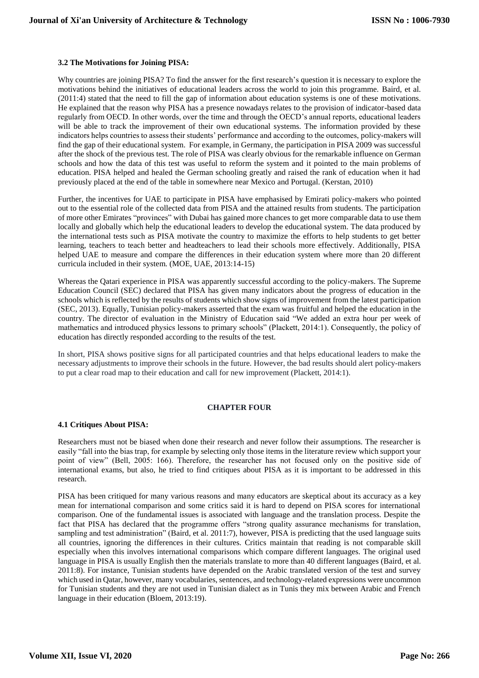## **3.2 The Motivations for Joining PISA:**

Why countries are joining PISA? To find the answer for the first research's question it is necessary to explore the motivations behind the initiatives of educational leaders across the world to join this programme. Baird, et al. (2011:4) stated that the need to fill the gap of information about education systems is one of these motivations. He explained that the reason why PISA has a presence nowadays relates to the provision of indicator-based data regularly from OECD. In other words, over the time and through the OECD's annual reports, educational leaders will be able to track the improvement of their own educational systems. The information provided by these indicators helps countries to assess their students' performance and according to the outcomes, policy-makers will find the gap of their educational system. For example, in Germany, the participation in PISA 2009 was successful after the shock of the previous test. The role of PISA was clearly obvious for the remarkable influence on German schools and how the data of this test was useful to reform the system and it pointed to the main problems of education. PISA helped and healed the German schooling greatly and raised the rank of education when it had previously placed at the end of the table in somewhere near Mexico and Portugal. (Kerstan, 2010)

Further, the incentives for UAE to participate in PISA have emphasised by Emirati policy-makers who pointed out to the essential role of the collected data from PISA and the attained results from students. The participation of more other Emirates "provinces" with Dubai has gained more chances to get more comparable data to use them locally and globally which help the educational leaders to develop the educational system. The data produced by the international tests such as PISA motivate the country to maximize the efforts to help students to get better learning, teachers to teach better and headteachers to lead their schools more effectively. Additionally, PISA helped UAE to measure and compare the differences in their education system where more than 20 different curricula included in their system. (MOE, UAE, 2013:14-15)

Whereas the Qatari experience in PISA was apparently successful according to the policy-makers. The Supreme Education Council (SEC) declared that PISA has given many indicators about the progress of education in the schools which is reflected by the results of students which show signs of improvement from the latest participation (SEC, 2013). Equally, Tunisian policy-makers asserted that the exam was fruitful and helped the education in the country. The director of evaluation in the Ministry of Education said "We added an extra hour per week of mathematics and introduced physics lessons to primary schools" (Plackett, 2014:1). Consequently, the policy of education has directly responded according to the results of the test.

In short, PISA shows positive signs for all participated countries and that helps educational leaders to make the necessary adjustments to improve their schools in the future. However, the bad results should alert policy-makers to put a clear road map to their education and call for new improvement (Plackett, 2014:1).

# **CHAPTER FOUR**

#### **4.1 Critiques About PISA:**

Researchers must not be biased when done their research and never follow their assumptions. The researcher is easily "fall into the bias trap, for example by selecting only those items in the literature review which support your point of view" (Bell, 2005: 166). Therefore, the researcher has not focused only on the positive side of international exams, but also, he tried to find critiques about PISA as it is important to be addressed in this research.

PISA has been critiqued for many various reasons and many educators are skeptical about its accuracy as a key mean for international comparison and some critics said it is hard to depend on PISA scores for international comparison. One of the fundamental issues is associated with language and the translation process. Despite the fact that PISA has declared that the programme offers "strong quality assurance mechanisms for translation, sampling and test administration" (Baird, et al. 2011:7), however, PISA is predicting that the used language suits all countries, ignoring the differences in their cultures. Critics maintain that reading is not comparable skill especially when this involves international comparisons which compare different languages. The original used language in PISA is usually English then the materials translate to more than 40 different languages (Baird, et al. 2011:8). For instance, Tunisian students have depended on the Arabic translated version of the test and survey which used in Qatar, however, many vocabularies, sentences, and technology-related expressions were uncommon for Tunisian students and they are not used in Tunisian dialect as in Tunis they mix between Arabic and French language in their education (Bloem, 2013:19).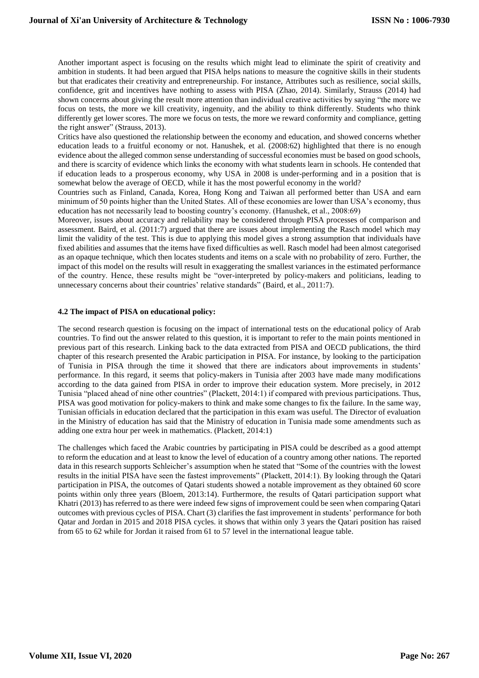Another important aspect is focusing on the results which might lead to eliminate the spirit of creativity and ambition in students. It had been argued that PISA helps nations to measure the cognitive skills in their students but that eradicates their creativity and entrepreneurship. For instance, Attributes such as resilience, social skills, confidence, grit and incentives have nothing to assess with PISA (Zhao, 2014). Similarly, Strauss (2014) had shown concerns about giving the result more attention than individual creative activities by saying "the more we focus on tests, the more we kill creativity, ingenuity, and the ability to think differently. Students who think differently get lower scores. The more we focus on tests, the more we reward conformity and compliance, getting the right answer" (Strauss, 2013).

Critics have also questioned the relationship between the economy and education, and showed concerns whether education leads to a fruitful economy or not. Hanushek, et al. (2008:62) highlighted that there is no enough evidence about the alleged common sense understanding of successful economies must be based on good schools, and there is scarcity of evidence which links the economy with what students learn in schools. He contended that if education leads to a prosperous economy, why USA in 2008 is under-performing and in a position that is somewhat below the average of OECD, while it has the most powerful economy in the world?

Countries such as Finland, Canada, Korea, Hong Kong and Taiwan all performed better than USA and earn minimum of 50 points higher than the United States. All of these economies are lower than USA's economy, thus education has not necessarily lead to boosting country's economy. (Hanushek, et al., 2008:69)

Moreover, issues about accuracy and reliability may be considered through PISA processes of comparison and assessment. Baird, et al. (2011:7) argued that there are issues about implementing the Rasch model which may limit the validity of the test. This is due to applying this model gives a strong assumption that individuals have fixed abilities and assumes that the items have fixed difficulties as well. Rasch model had been almost categorised as an opaque technique, which then locates students and items on a scale with no probability of zero. Further, the impact of this model on the results will result in exaggerating the smallest variances in the estimated performance of the country. Hence, these results might be "over-interpreted by policy-makers and politicians, leading to unnecessary concerns about their countries' relative standards" (Baird, et al., 2011:7).

## **4.2 The impact of PISA on educational policy:**

The second research question is focusing on the impact of international tests on the educational policy of Arab countries. To find out the answer related to this question, it is important to refer to the main points mentioned in previous part of this research. Linking back to the data extracted from PISA and OECD publications, the third chapter of this research presented the Arabic participation in PISA. For instance, by looking to the participation of Tunisia in PISA through the time it showed that there are indicators about improvements in students' performance. In this regard, it seems that policy-makers in Tunisia after 2003 have made many modifications according to the data gained from PISA in order to improve their education system. More precisely, in 2012 Tunisia "placed ahead of nine other countries" (Plackett, 2014:1) if compared with previous participations. Thus, PISA was good motivation for policy-makers to think and make some changes to fix the failure. In the same way, Tunisian officials in education declared that the participation in this exam was useful. The Director of evaluation in the Ministry of education has said that the Ministry of education in Tunisia made some amendments such as adding one extra hour per week in mathematics. (Plackett, 2014:1)

The challenges which faced the Arabic countries by participating in PISA could be described as a good attempt to reform the education and at least to know the level of education of a country among other nations. The reported data in this research supports Schleicher's assumption when he stated that "Some of the countries with the lowest results in the initial PISA have seen the fastest improvements" (Plackett, 2014:1). By looking through the Qatari participation in PISA, the outcomes of Qatari students showed a notable improvement as they obtained 60 score points within only three years (Bloem, 2013:14). Furthermore, the results of Qatari participation support what Khatri (2013) has referred to as there were indeed few signs of improvement could be seen when comparing Qatari outcomes with previous cycles of PISA. Chart (3) clarifies the fast improvement in students' performance for both Qatar and Jordan in 2015 and 2018 PISA cycles. it shows that within only 3 years the Qatari position has raised from 65 to 62 while for Jordan it raised from 61 to 57 level in the international league table.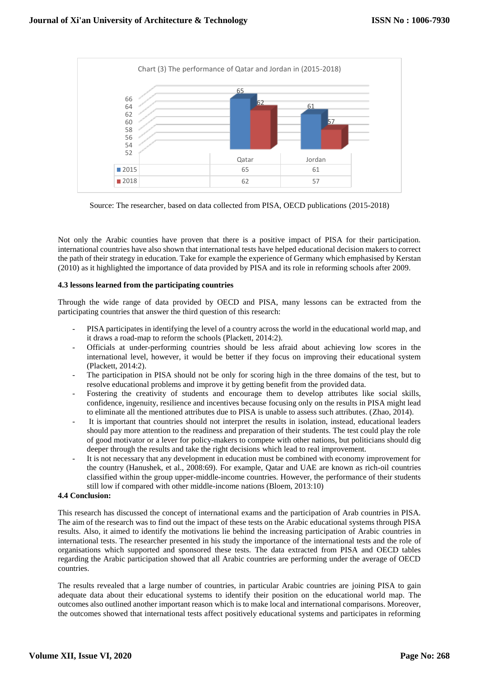

Source: The researcher, based on data collected from PISA, OECD publications (2015-2018)

Not only the Arabic counties have proven that there is a positive impact of PISA for their participation. international countries have also shown that international tests have helped educational decision makers to correct the path of their strategy in education. Take for example the experience of Germany which emphasised by Kerstan (2010) as it highlighted the importance of data provided by PISA and its role in reforming schools after 2009.

# **4.3 lessons learned from the participating countries**

Through the wide range of data provided by OECD and PISA, many lessons can be extracted from the participating countries that answer the third question of this research:

- PISA participates in identifying the level of a country across the world in the educational world map, and it draws a road-map to reform the schools (Plackett, 2014:2).
- Officials at under-performing countries should be less afraid about achieving low scores in the international level, however, it would be better if they focus on improving their educational system (Plackett, 2014:2).
- The participation in PISA should not be only for scoring high in the three domains of the test, but to resolve educational problems and improve it by getting benefit from the provided data.
- Fostering the creativity of students and encourage them to develop attributes like social skills, confidence, ingenuity, resilience and incentives because focusing only on the results in PISA might lead to eliminate all the mentioned attributes due to PISA is unable to assess such attributes. (Zhao, 2014).
- It is important that countries should not interpret the results in isolation, instead, educational leaders should pay more attention to the readiness and preparation of their students. The test could play the role of good motivator or a lever for policy-makers to compete with other nations, but politicians should dig deeper through the results and take the right decisions which lead to real improvement.
- It is not necessary that any development in education must be combined with economy improvement for the country (Hanushek, et al., 2008:69). For example, Qatar and UAE are known as rich-oil countries classified within the group upper-middle-income countries. However, the performance of their students still low if compared with other middle-income nations (Bloem, 2013:10)

# **4.4 Conclusion:**

This research has discussed the concept of international exams and the participation of Arab countries in PISA. The aim of the research was to find out the impact of these tests on the Arabic educational systems through PISA results. Also, it aimed to identify the motivations lie behind the increasing participation of Arabic countries in international tests. The researcher presented in his study the importance of the international tests and the role of organisations which supported and sponsored these tests. The data extracted from PISA and OECD tables regarding the Arabic participation showed that all Arabic countries are performing under the average of OECD countries.

The results revealed that a large number of countries, in particular Arabic countries are joining PISA to gain adequate data about their educational systems to identify their position on the educational world map. The outcomes also outlined another important reason which is to make local and international comparisons. Moreover, the outcomes showed that international tests affect positively educational systems and participates in reforming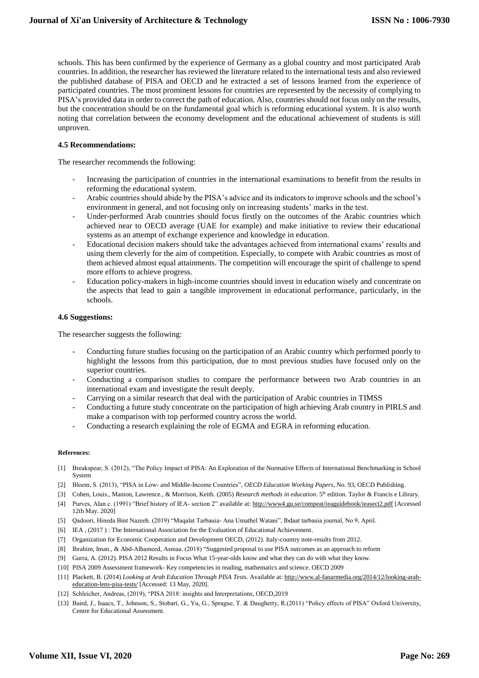schools. This has been confirmed by the experience of Germany as a global country and most participated Arab countries. In addition, the researcher has reviewed the literature related to the international tests and also reviewed the published database of PISA and OECD and he extracted a set of lessons learned from the experience of participated countries. The most prominent lessons for countries are represented by the necessity of complying to PISA's provided data in order to correct the path of education. Also, countries should not focus only on the results, but the concentration should be on the fundamental goal which is reforming educational system. It is also worth noting that correlation between the economy development and the educational achievement of students is still unproven.

## **4.5 Recommendations:**

The researcher recommends the following:

- Increasing the participation of countries in the international examinations to benefit from the results in reforming the educational system.
- Arabic countries should abide by the PISA's advice and its indicators to improve schools and the school's environment in general, and not focusing only on increasing students' marks in the test.
- Under-performed Arab countries should focus firstly on the outcomes of the Arabic countries which achieved near to OECD average (UAE for example) and make initiative to review their educational systems as an attempt of exchange experience and knowledge in education.
- Educational decision makers should take the advantages achieved from international exams' results and using them cleverly for the aim of competition. Especially, to compete with Arabic countries as most of them achieved almost equal attainments. The competition will encourage the spirit of challenge to spend more efforts to achieve progress.
- Education policy-makers in high-income countries should invest in education wisely and concentrate on the aspects that lead to gain a tangible improvement in educational performance, particularly, in the schools.

## **4.6 Suggestions:**

The researcher suggests the following:

- Conducting future studies focusing on the participation of an Arabic country which performed poorly to highlight the lessons from this participation, due to most previous studies have focused only on the superior countries.
- Conducting a comparison studies to compare the performance between two Arab countries in an international exam and investigate the result deeply.
- Carrying on a similar research that deal with the participation of Arabic countries in TIMSS
- Conducting a future study concentrate on the participation of high achieving Arab country in PIRLS and make a comparison with top performed country across the world.
- Conducting a research explaining the role of EGMA and EGRA in reforming education.

#### **References:**

- [1] Breakspear, S. (2012), "The Policy Impact of PISA: An Exploration of the Normative Effects of International Benchmarking in School System
- [2] Bloem, S. (2013), "PISA in Low- and Middle-Income Countries", *OECD Education Working Papers*, No. 93, OECD Publishing.
- [3] Cohen, Louis., Manion, Lawrence., & Morrison, Keith. (2005) *Research methods in education*. 5<sup>th</sup> edition. Taylor & Francis e Library.
- [4] Purves, Alan c. (1991) "Brief history of IEA- section 2" available at:<http://www4.gu.se/compeat/ieaguidebook/ieasect2.pdf> [Accessed 12th May. 2020]
- [5] Qadoori, Hineda Bint Nazeeh. (2019) "Maqalat Tarbauia- Ana Umathel Watani", Ibdaat tarbauia journal, No 9, April.
- [6] IEA , (2017 ) : The International Association for the Evaluation of Educational Achievement.
- [7] Organization for Economic Cooperation and Development OECD, (2012). Italy-country note-results from 2012.
- [8] Ibrahim, Iman., & Abd-Alhameed, Asmaa. (2018) "Suggested proposal to use PISA outcomes as an approach to reform
- [9] Gurra, A. (2012). PISA 2012 Results in Focus What 15-year-olds know and what they can do with what they know.
- [10] PISA 2009 Assessment framework- Key competencies in reading, mathematics and science. OECD 2009
- [11] Plackett, B. (2014) *Looking at Arab Education Through PISA Tests*. Available at[: http://www.al-fanarmedia.org/2014/12/looking-arab](http://www.al-fanarmedia.org/2014/12/looking-arab-education-lens-pisa-tests/)[education-lens-pisa-tests/](http://www.al-fanarmedia.org/2014/12/looking-arab-education-lens-pisa-tests/) [Accessed: 13 May, 2020].
- [12] Schleicher, Andreas, (2019), "PISA 2018: insights and Interpretations, OECD, 2019
- [13] Baird, J., Isaacs, T., Johnson, S., Stobart, G., Yu, G., Sprague, T. & Daugherty, R.(2011) "Policy effects of PISA" Oxford University, Centre for Educational Assessment.